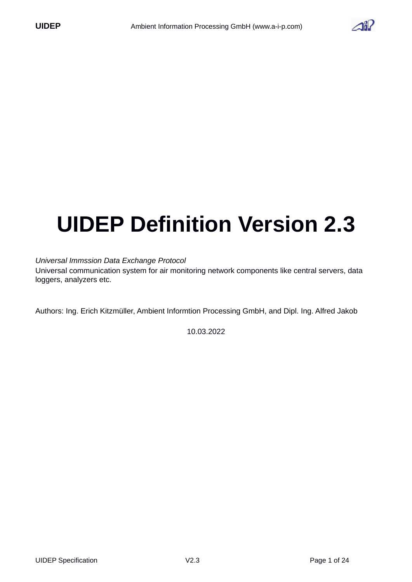

# **UIDEP Definition Version 2.3**

#### *Universal Immssion Data Exchange Protocol*

Universal communication system for air monitoring network components like central servers, data loggers, analyzers etc.

Authors: Ing. Erich Kitzmüller, Ambient Informtion Processing GmbH, and Dipl. Ing. Alfred Jakob

10.03.2022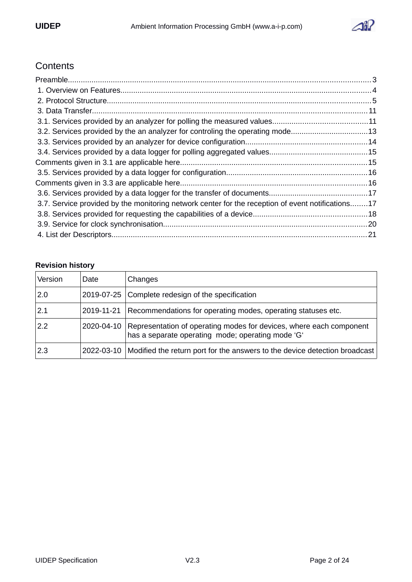

# **Contents**

| 3.2. Services provided by the an analyzer for controling the operating mode13                     |  |
|---------------------------------------------------------------------------------------------------|--|
|                                                                                                   |  |
|                                                                                                   |  |
|                                                                                                   |  |
|                                                                                                   |  |
|                                                                                                   |  |
|                                                                                                   |  |
| 3.7. Service provided by the monitoring network center for the reception of event notifications17 |  |
|                                                                                                   |  |
|                                                                                                   |  |
|                                                                                                   |  |

## **Revision history**

| Version | Date       | Changes                                                                                                                  |
|---------|------------|--------------------------------------------------------------------------------------------------------------------------|
| 2.0     | 2019-07-25 | Complete redesign of the specification                                                                                   |
| 2.1     | 2019-11-21 | Recommendations for operating modes, operating statuses etc.                                                             |
| 2.2     | 2020-04-10 | Representation of operating modes for devices, where each component<br>has a separate operating mode; operating mode 'G' |
| 2.3     | 2022-03-10 | Modified the return port for the answers to the device detection broadcast                                               |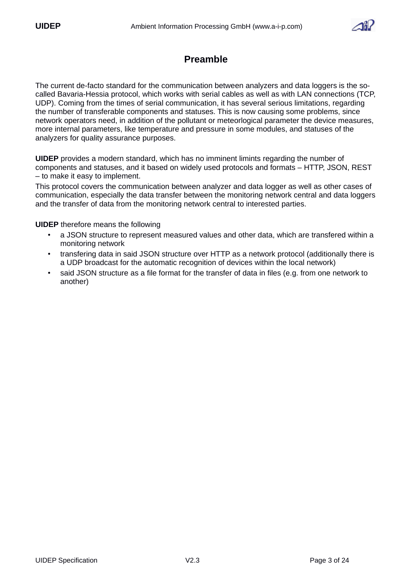

# <span id="page-2-0"></span>**Preamble**

The current de-facto standard for the communication between analyzers and data loggers is the socalled Bavaria-Hessia protocol, which works with serial cables as well as with LAN connections (TCP, UDP). Coming from the times of serial communication, it has several serious limitations, regarding the number of transferable components and statuses. This is now causing some problems, since network operators need, in addition of the pollutant or meteorlogical parameter the device measures, more internal parameters, like temperature and pressure in some modules, and statuses of the analyzers for quality assurance purposes.

**UIDEP** provides a modern standard, which has no imminent limints regarding the number of components and statuses, and it based on widely used protocols and formats – HTTP, JSON, REST – to make it easy to implement.

This protocol covers the communication between analyzer and data logger as well as other cases of communication, especially the data transfer between the monitoring network central and data loggers and the transfer of data from the monitoring network central to interested parties.

**UIDEP** therefore means the following

- a JSON structure to represent measured values and other data, which are transfered within a monitoring network
- transfering data in said JSON structure over HTTP as a network protocol (additionally there is a UDP broadcast for the automatic recognition of devices within the local network)
- said JSON structure as a file format for the transfer of data in files (e.g. from one network to another)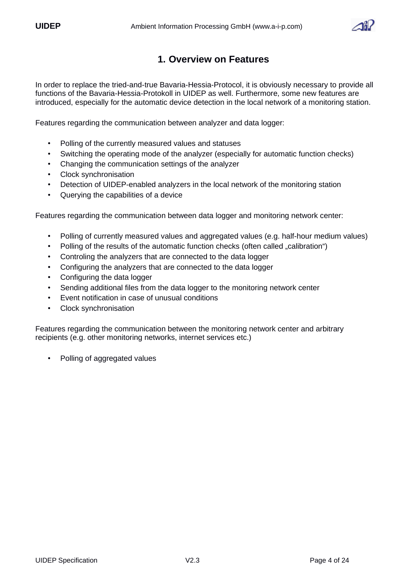

# <span id="page-3-0"></span> **1. Overview on Features**

In order to replace the tried-and-true Bavaria-Hessia-Protocol, it is obviously necessary to provide all functions of the Bavaria-Hessia-Protokoll in UIDEP as well. Furthermore, some new features are introduced, especially for the automatic device detection in the local network of a monitoring station.

Features regarding the communication between analyzer and data logger:

- Polling of the currently measured values and statuses
- Switching the operating mode of the analyzer (especially for automatic function checks)
- Changing the communication settings of the analyzer
- Clock synchronisation
- Detection of UIDEP-enabled analyzers in the local network of the monitoring station
- Querying the capabilities of a device

Features regarding the communication between data logger and monitoring network center:

- Polling of currently measured values and aggregated values (e.g. half-hour medium values)
- Polling of the results of the automatic function checks (often called "calibration")
- Controling the analyzers that are connected to the data logger
- Configuring the analyzers that are connected to the data logger
- Configuring the data logger
- Sending additional files from the data logger to the monitoring network center
- Event notification in case of unusual conditions
- Clock synchronisation

Features regarding the communication between the monitoring network center and arbitrary recipients (e.g. other monitoring networks, internet services etc.)

• Polling of aggregated values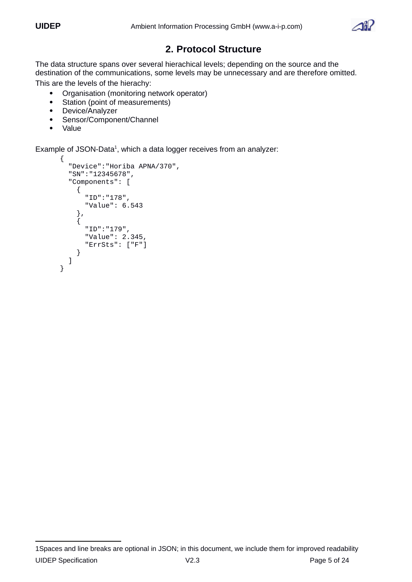

# <span id="page-4-0"></span> **2. Protocol Structure**

The data structure spans over several hierachical levels; depending on the source and the destination of the communications, some levels may be unnecessary and are therefore omitted. This are the levels of the hierachy:

- Organisation (monitoring network operator)<br>• Station (point of measurements)
- Station (point of measurements)
- Device/Analyzer
- Sensor/Component/Channel
- Value

Example of JSON-Data<sup>[1](#page-4-1)</sup>, which a data logger receives from an analyzer:

```
{
   "Device":"Horiba APNA/370",
 "SN":"12345678",
 "Components": [
     {
        "ID":"178",
        "Value": 6.543
     },
     {
       "ID":"179",
        "Value": 2.345,
        "ErrSts": ["F"]
     }
   ]
}
```
<span id="page-4-1"></span><sup>1</sup>Spaces and line breaks are optional in JSON; in this document, we include them for improved readability UIDEP Specification V2.3 Page 5 of 24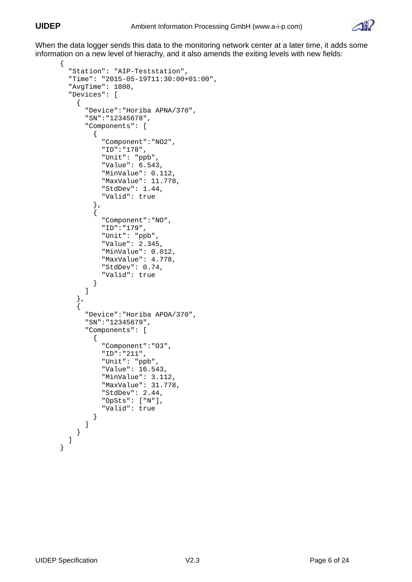

When the data logger sends this data to the monitoring network center at a later time, it adds some information on a new level of hierachy, and it also amends the exiting levels with new fields:

```
{
   "Station": "AIP-Teststation",
   "Time": "2015-05-19T11:30:00+01:00",
   "AvgTime": 1800,
   "Devices": [
     {
       "Device":"Horiba APNA/370",
       "SN":"12345678",
       "Components": [
         {
           "Component":"NO2",
           "ID":"178",
 "Unit": "ppb",
 "Value": 6.543,
           "MinValue": 0.112,
           "MaxValue": 11.778,
           "StdDev": 1.44,
           "Valid": true
         },
         {
           "Component":"NO",
           "ID":"179",
 "Unit": "ppb",
 "Value": 2.345,
           "MinValue": 0.012,
           "MaxValue": 4.778,
           "StdDev": 0.74,
           "Valid": true
         }
       ]
     },
     {
       "Device":"Horiba APOA/370",
       "SN":"12345679",
       "Components": [
         {
           "Component":"O3",
           "ID":"211",
 "Unit": "ppb",
 "Value": 16.543,
           "MinValue": 3.112,
           "MaxValue": 31.778,
           "StdDev": 2.44,
           "OpSts": ["N"],
           "Valid": true
         }
       ]
    }
  ] 
}
```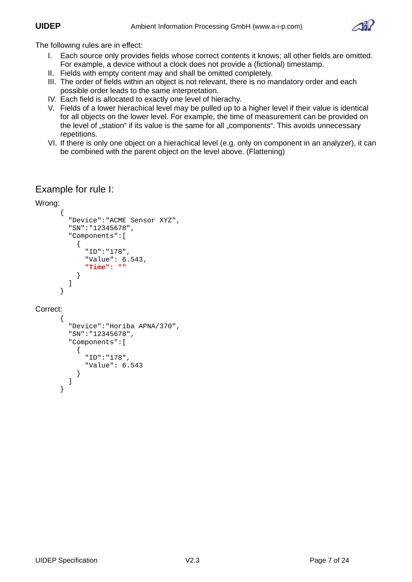

The following rules are in effect:

- I. Each source only provides fields whose correct contents it knows; all other fields are omitted. For example, a device without a clock does not provide a (fictional) timestamp.
- II. Fields with empty content may and shall be omitted completely.
- III. The order of fields within an object is not relevant, there is no mandatory order and each possible order leads to the same interpretation.
- IV. Each field is allocated to exactly one level of hierachy.
- V. Fields of a lower hierachical level may be pulled up to a higher level if their value is identical for all objects on the lower level. For example, the time of measurement can be provided on the level of "station" if its value is the same for all "components". This avoids unnecessary repetitions.
- VI. If there is only one object on a hierachical level (e.g. only on component in an analyzer), it can be combined with the parent object on the level above. (Flattening)

# Example for rule I:

```
Wrong:
```

```
{
          "Device":"ACME Sensor XYZ",
          "SN":"12345678",
          "Components":[
             {
               "ID":"178",
               "Value": 6.543,
               "Time": ""
             }
          ]
       }
Correct: 
       {
          "Device":"Horiba APNA/370",
          "SN":"12345678",
          "Components":[
             {
               "ID":"178",
               "Value": 6.543
            }
          ]
       }
```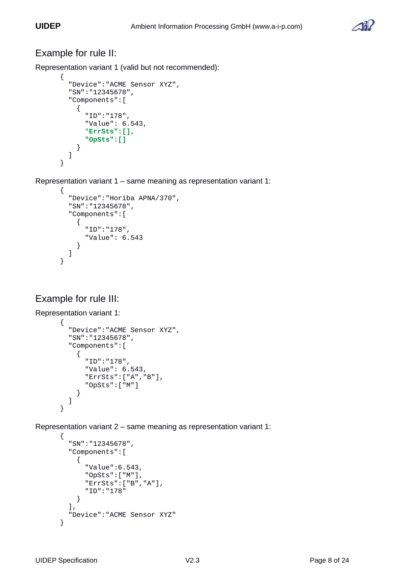

# Example for rule II:

Representation variant 1 (valid but not recommended):

```
{
   "Device":"ACME Sensor XYZ",
   "SN":"12345678",
   "Components":[
     {
        "ID":"178",
        "Value": 6.543,
        "ErrSts":[], 
        "OpSts":[]
     }
   ]
}
```
Representation variant 1 – same meaning as representation variant 1:

```
{
   "Device":"Horiba APNA/370",
   "SN":"12345678",
   "Components":[
     {
        "ID":"178",
        "Value": 6.543
     }
   ]
}
```
# Example for rule III:

```
Representation variant 1: 
       {
          "Device":"ACME Sensor XYZ",
          "SN":"12345678",
          "Components":[
             {
               "ID":"178",
               "Value": 6.543,
               "ErrSts":["A","B"],
               "OpSts":["M"]
            }
          ]
       }
```
Representation variant 2 – same meaning as representation variant 1:

```
{
   "SN":"12345678",
   "Components":[
     {
       "Value":6.543,
 "OpSts":["M"],
 "ErrSts":["B","A"],
       "ID":"178"
     }
 ],
   "Device":"ACME Sensor XYZ" 
}
```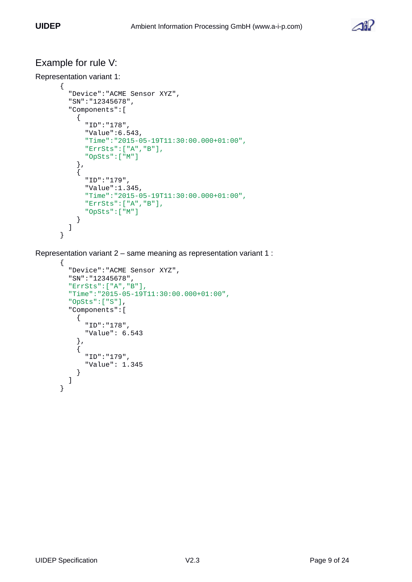

# Example for rule V:

```
Representation variant 1: 
      {
          "Device":"ACME Sensor XYZ",
         "SN":"12345678",
          "Components":[
            {
              "ID":"178",
              "Value":6.543,
              "Time":"2015-05-19T11:30:00.000+01:00",
              "ErrSts":["A","B"],
              "OpSts":["M"]
       },
      \{ "ID":"179",
              "Value":1.345,
              "Time":"2015-05-19T11:30:00.000+01:00",
              "ErrSts":["A","B"],
              "OpSts":["M"]
           }
         ]
      }
```
Representation variant 2 – same meaning as representation variant 1 :

```
{
   "Device":"ACME Sensor XYZ",
   "SN":"12345678",
   "ErrSts":["A","B"],
   "Time":"2015-05-19T11:30:00.000+01:00",
 "OpSts":["S"],
 "Components":[
     {
       "ID":"178",
       "Value": 6.543
     },
     {
       "ID":"179",
       "Value": 1.345
     }
   ]
}
```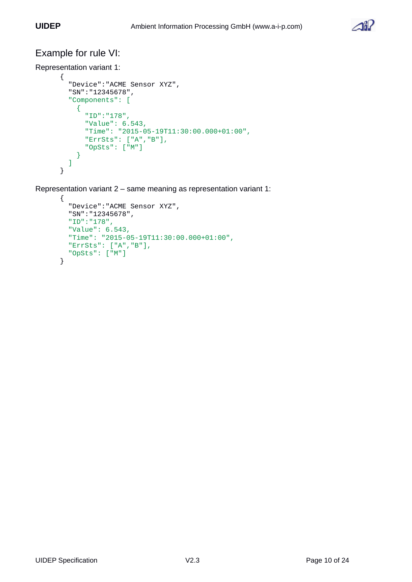

# Example for rule VI:

```
Representation variant 1: 
      {
         "Device":"ACME Sensor XYZ",
         "SN":"12345678",
         "Components": [
           {
             "ID":"178",
             "Value": 6.543,
             "Time": "2015-05-19T11:30:00.000+01:00",
       "ErrSts": ["A","B"],
       "OpSts": ["M"]
           }
         ]
      }
```
Representation variant 2 – same meaning as representation variant 1:

```
{
   "Device":"ACME Sensor XYZ",
 "SN":"12345678",
 "ID":"178",
   "Value": 6.543,
   "Time": "2015-05-19T11:30:00.000+01:00",
   "ErrSts": ["A","B"],
   "OpSts": ["M"]
}
```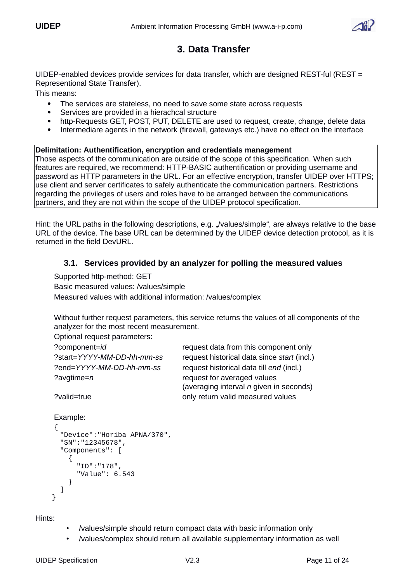

# <span id="page-10-1"></span> **3. Data Transfer**

UIDEP-enabled devices provide services for data transfer, which are designed REST-ful (REST = Representional State Transfer).

This means:

- The services are stateless, no need to save some state across requests
- Services are provided in a hierachcal structure
- http-Requests GET, POST, PUT, DELETE are used to request, create, change, delete data
- Intermediare agents in the network (firewall, gateways etc.) have no effect on the interface

#### **Delimitation: Authentification, encryption and credentials management**

Those aspects of the communication are outside of the scope of this specification. When such features are required, we recommend: HTTP-BASIC authentification or providing username and password as HTTP parameters in the URL. For an effective encryption, transfer UIDEP over HTTPS; use client and server certificates to safely authenticate the communication partners. Restrictions regarding the privileges of users and roles have to be arranged between the communications partners, and they are not within the scope of the UIDEP protocol specification.

Hint: the URL paths in the following descriptions, e.g. "/values/simple", are always relative to the base URL of the device. The base URL can be determined by the UIDEP device detection protocol, as it is returned in the field DevURL.

#### <span id="page-10-0"></span> **3.1. Services provided by an analyzer for polling the measured values**

Supported http-method: GET

Basic measured values: /values/simple Measured values with additional information: /values/complex

Without further request parameters, this service returns the values of all components of the analyzer for the most recent measurement.

Optional request parameters:

| ?component=id              | request data from this component only                                    |
|----------------------------|--------------------------------------------------------------------------|
| ?start=YYYY-MM-DD-hh-mm-ss | request historical data since start (incl.)                              |
| ?end=YYYY-MM-DD-hh-mm-ss   | request historical data till end (incl.)                                 |
| ?avgtime=n                 | request for averaged values<br>(averaging interval $n$ given in seconds) |
| ?valid=true                | only return valid measured values                                        |

```
Example:
{
   "Device":"Horiba APNA/370",
   "SN":"12345678",
   "Components": [
      \mathcal{L}_{\mathcal{L}_{\mathcal{L}}} "ID":"178",
          "Value": 6.543
      }
  ]
 }
```
Hints:

- /values/simple should return compact data with basic information only
- /values/complex should return all available supplementary information as well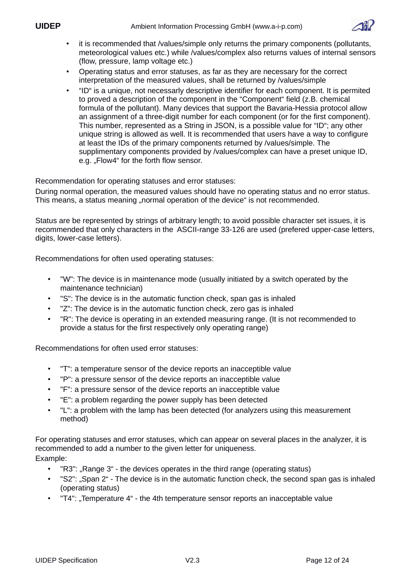

- it is recommended that /values/simple only returns the primary components (pollutants, meteorological values etc.) while /values/complex also returns values of internal sensors (flow, pressure, lamp voltage etc.)
- Operating status and error statuses, as far as they are necessary for the correct interpretation of the measured values, shall be returned by /values/simple
- "ID" is a unique, not necessarly descriptive identifier for each component. It is permited to proved a description of the component in the "Component" field (z.B. chemical formula of the pollutant). Many devices that support the Bavaria-Hessia protocol allow an assignment of a three-digit number for each component (or for the first component). This number, represented as a String in JSON, is a possible value for "ID"; any other unique string is allowed as well. It is recommended that users have a way to configure at least the IDs of the primary components returned by /values/simple. The supplimentary components provided by /values/complex can have a preset unique ID, e.g. "Flow4" for the forth flow sensor.

Recommendation for operating statuses and error statuses:

During normal operation, the measured values should have no operating status and no error status. This means, a status meaning "normal operation of the device" is not recommended.

Status are be represented by strings of arbitrary length; to avoid possible character set issues, it is recommended that only characters in the ASCII-range 33-126 are used (prefered upper-case letters, digits, lower-case letters).

Recommendations for often used operating statuses:

- "W": The device is in maintenance mode (usually initiated by a switch operated by the maintenance technician)
- "S": The device is in the automatic function check, span gas is inhaled
- "Z": The device is in the automatic function check, zero gas is inhaled
- "R": The device is operating in an extended measuring range. (It is not recommended to provide a status for the first respectively only operating range)

Recommendations for often used error statuses:

- "T": a temperature sensor of the device reports an inacceptible value
- "P": a pressure sensor of the device reports an inacceptible value
- "F": a pressure sensor of the device reports an inacceptible value
- "E": a problem regarding the power supply has been detected
- "L": a problem with the lamp has been detected (for analyzers using this measurement method)

For operating statuses and error statuses, which can appear on several places in the analyzer, it is recommended to add a number to the given letter for uniqueness. Example:

- "R3": "Range 3" the devices operates in the third range (operating status)
- "S2": "Span 2" The device is in the automatic function check, the second span gas is inhaled (operating status)
- "T4": "Temperature 4" the 4th temperature sensor reports an inacceptable value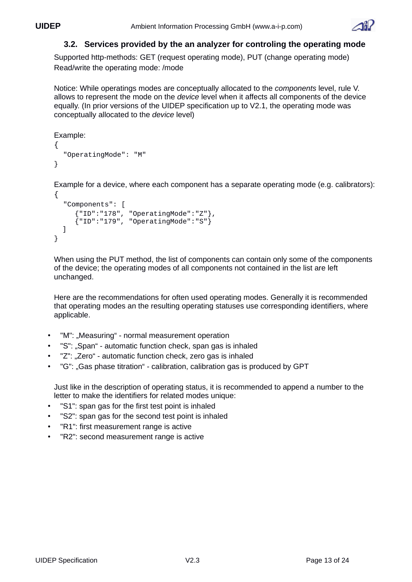

#### <span id="page-12-0"></span> **3.2. Services provided by the an analyzer for controling the operating mode**

Supported http-methods: GET (request operating mode), PUT (change operating mode) Read/write the operating mode: /mode

Notice: While operatings modes are conceptually allocated to the *components* level, rule V. allows to represent the mode on the *device* level when it affects all components of the device equally. (In prior versions of the UIDEP specification up to V2.1, the operating mode was conceptually allocated to the *device* level)

```
Example:
{ 
   "OperatingMode": "M" 
}
```
Example for a device, where each component has a separate operating mode (e.g. calibrators): {

```
 "Components": [
        {"ID":"178", "OperatingMode":"Z"},
      {^{\text{``ID''}: "179",}} "Operating Mode": "S"}
  \mathbf{I}}
```
When using the PUT method, the list of components can contain only some of the components of the device; the operating modes of all components not contained in the list are left unchanged.

Here are the recommendations for often used operating modes. Generally it is recommended that operating modes an the resulting operating statuses use corresponding identifiers, where applicable.

- "M": "Measuring" normal measurement operation
- "S": ..Span" automatic function check, span gas is inhaled
- "Z": ..Zero" automatic function check, zero gas is inhaled
- "G": "Gas phase titration" calibration, calibration gas is produced by GPT

Just like in the description of operating status, it is recommended to append a number to the letter to make the identifiers for related modes unique:

- "S1": span gas for the first test point is inhaled
- "S2": span gas for the second test point is inhaled
- "R1": first measurement range is active
- "R2": second measurement range is active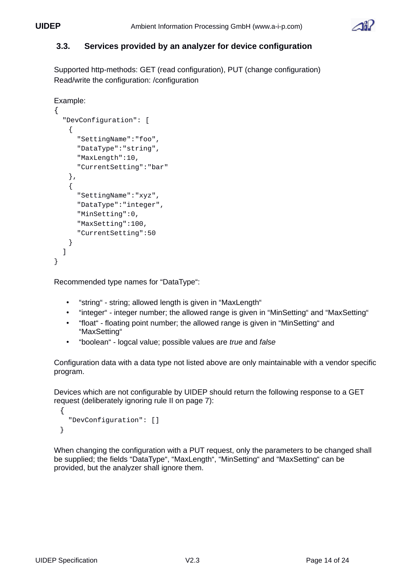

#### <span id="page-13-0"></span> **3.3. Services provided by an analyzer for device configuration**

Supported http-methods: GET (read configuration), PUT (change configuration) Read/write the configuration: /configuration

```
Example:
```

```
{ 
        "DevConfiguration": [
         {
           "SettingName":"foo",
           "DataType":"string",
           "MaxLength":10,
           "CurrentSetting":"bar"
         },
\{ "SettingName":"xyz",
           "DataType":"integer",
           "MinSetting":0,
           "MaxSetting":100,
           "CurrentSetting":50
         } 
        ]
    }
```
Recommended type names for "DataType":

- "string" string; allowed length is given in "MaxLength"
- "integer" integer number; the allowed range is given in "MinSetting" and "MaxSetting"
- "float" floating point number; the allowed range is given in "MinSetting" and "MaxSetting"
- "boolean" logcal value; possible values are *true* and *false*

Configuration data with a data type not listed above are only maintainable with a vendor specific program.

Devices which are not configurable by UIDEP should return the following response to a GET request (deliberately ignoring rule II on page 7):

```
{ 
   "DevConfiguration": []
}
```
When changing the configuration with a PUT request, only the parameters to be changed shall be supplied; the fields "DataType", "MaxLength", "MinSetting" and "MaxSetting" can be provided, but the analyzer shall ignore them.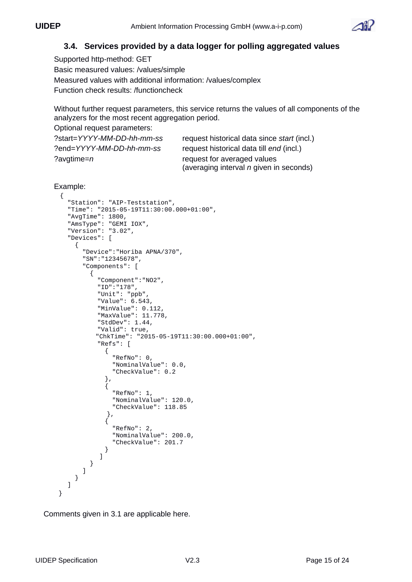

#### <span id="page-14-1"></span> **3.4. Services provided by a data logger for polling aggregated values**

Supported http-method: GET Basic measured values: /values/simple Measured values with additional information: /values/complex Function check results: /functioncheck

Without further request parameters, this service returns the values of all components of the analyzers for the most recent aggregation period.

Optional request parameters:

| ?start=YYYY-MM-DD-hh-mm-ss | request historical data since start (incl.)    |
|----------------------------|------------------------------------------------|
| ?end=YYYY-MM-DD-hh-mm-ss   | request historical data till end (incl.)       |
| ?avgtime=n                 | request for averaged values                    |
|                            | (averaging interval <i>n</i> given in seconds) |

```
Example:
```

```
{
   "Station": "AIP-Teststation",
   "Time": "2015-05-19T11:30:00.000+01:00",
   "AvgTime": 1800,
 "AmsType": "GEMI IOX",
 "Version": "3.02",
   "Devices": [
     {
       "Device":"Horiba APNA/370",
       "SN":"12345678",
       "Components": [
         {
           "Component":"NO2",
           "ID":"178",
 "Unit": "ppb",
 "Value": 6.543,
           "MinValue": 0.112,
           "MaxValue": 11.778,
           "StdDev": 1.44,
           "Valid": true,
           "ChkTime": "2015-05-19T11:30:00.000+01:00",
           "Refs": [
\{ "RefNo": 0,
               "NominalValue": 0.0,
               "CheckValue": 0.2
             },
\{ "RefNo": 1,
               "NominalValue": 120.0,
               "CheckValue": 118.85
             },
\{ "RefNo": 2,
               "NominalValue": 200.0,
               "CheckValue": 201.7
 }
           ]
         }
      ]
     }
   ] 
 }
```
<span id="page-14-0"></span>Comments given in 3.1 are applicable here.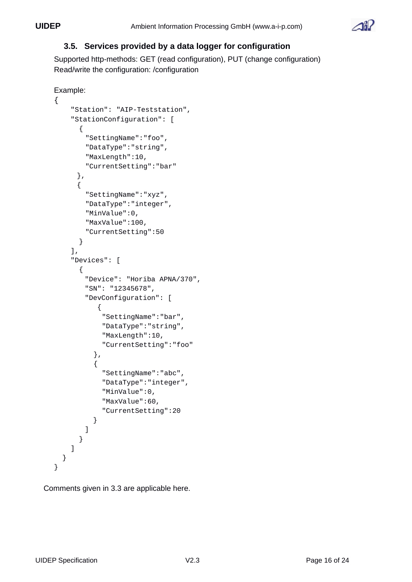

#### <span id="page-15-1"></span> **3.5. Services provided by a data logger for configuration**

Supported http-methods: GET (read configuration), PUT (change configuration) Read/write the configuration: /configuration

```
Example:
    { 
          "Station": "AIP-Teststation",
          "StationConfiguration": [
            {
              "SettingName":"foo",
              "DataType":"string",
              "MaxLength":10,
              "CurrentSetting":"bar"
           },
           {
              "SettingName":"xyz",
              "DataType":"integer",
              "MinValue":0,
             "MaxValue":100,
              "CurrentSetting":50
            }
          ],
          "Devices": [
            {
              "Device": "Horiba APNA/370",
             "SN": "12345678",
              "DevConfiguration": [
                 {
                  "SettingName":"bar",
                  "DataType":"string",
                  "MaxLength":10,
                  "CurrentSetting":"foo"
                },
\{ "SettingName":"abc",
                  "DataType":"integer",
                  "MinValue":0,
                  "MaxValue":60,
                  "CurrentSetting":20
                }
             ]
            }
          ]
       }
    }
```
<span id="page-15-0"></span>Comments given in 3.3 are applicable here.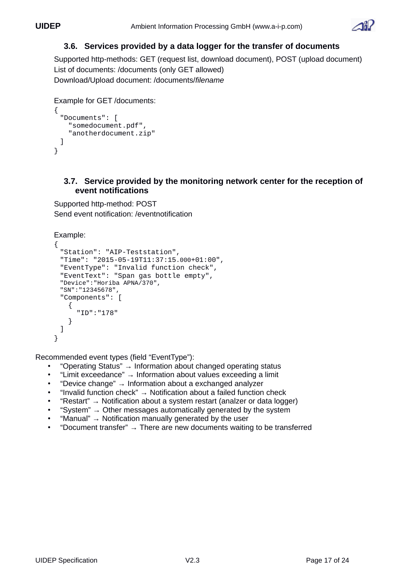

## <span id="page-16-1"></span> **3.6. Services provided by a data logger for the transfer of documents**

Supported http-methods: GET (request list, download document), POST (upload document) List of documents: /documents (only GET allowed) Download/Upload document: /documents/*filename*

```
Example for GET /documents:
{
 "Documents": [
    "somedocument.pdf",
     "anotherdocument.zip"
 ]
}
```
#### <span id="page-16-0"></span> **3.7. Service provided by the monitoring network center for the reception of event notifications**

Supported http-method: POST Send event notification: /eventnotification

```
Example:
```

```
{
 "Station": "AIP-Teststation",
 "Time": "2015-05-19T11:37:15.000+01:00",
 "EventType": "Invalid function check",
 "EventText": "Span gas bottle empty",
 "Device":"Horiba APNA/370",
 "SN":"12345678",
 "Components": [
    {
      "ID":"178"
    }
 ]
}
```
Recommended event types (field "EventType"):

- "Operating Status" → Information about changed operating status
- "Limit exceedance" → Information about values exceeding a limit
- "Device change" → Information about a exchanged analyzer
- "Invalid function check" → Notification about a failed function check
- "Restart" → Notification about a system restart (analzer or data logger)
- "System"  $\rightarrow$  Other messages automatically generated by the system
- "Manual"  $\rightarrow$  Notification manually generated by the user
- "Document transfer" → There are new documents waiting to be transferred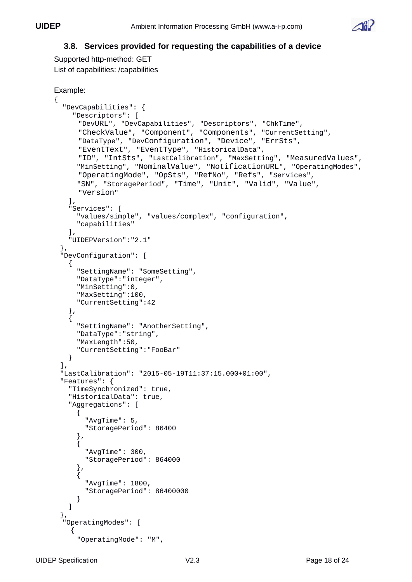

#### <span id="page-17-0"></span> **3.8. Services provided for requesting the capabilities of a device**

Supported http-method: GET List of capabilities: /capabilities

```
Example:
{
   "DevCapabilities": {
     "Descriptors": [
  "DevURL", "DevCapabilities", "Descriptors", "ChkTime",
  "CheckValue", "Component", "Components", "CurrentSetting", 
  "DataType", "DevConfiguration", "Device", "ErrSts",
      "EventText", "EventType", "HistoricalData",
  "ID", "IntSts", "LastCalibration", "MaxSetting", "MeasuredValues",
  "MinSetting", "NominalValue", "NotificationURL", "OperatingModes",
       "OperatingMode", "OpSts", "RefNo", "Refs", "Services",
      "SN", "StoragePeriod", "Time", "Unit", "Valid", "Value",
       "Version"
  ],
  "Services": [
      "values/simple", "values/complex", "configuration",
      "capabilities"
    ],
    "UIDEPVersion":"2.1"
 },
 "DevConfiguration": [
    {
      "SettingName": "SomeSetting", 
      "DataType":"integer",
  "MinSetting":0,
  "MaxSetting":100,
  "CurrentSetting":42
    },
    {
      "SettingName": "AnotherSetting",
      "DataType":"string",
      "MaxLength":50,
      "CurrentSetting":"FooBar"
    }
 ],
 "LastCalibration": "2015-05-19T11:37:15.000+01:00",
 "Features": {
    "TimeSynchronized": true,
    "HistoricalData": true,
    "Aggregations": [
      {
        "AvgTime": 5,
        "StoragePeriod": 86400
      },
      {
        "AvgTime": 300,
        "StoragePeriod": 864000
      },
      {
        "AvgTime": 1800,
        "StoragePeriod": 86400000
      }
    ]
 },
 "OperatingModes": [
\{ "OperatingMode": "M",
```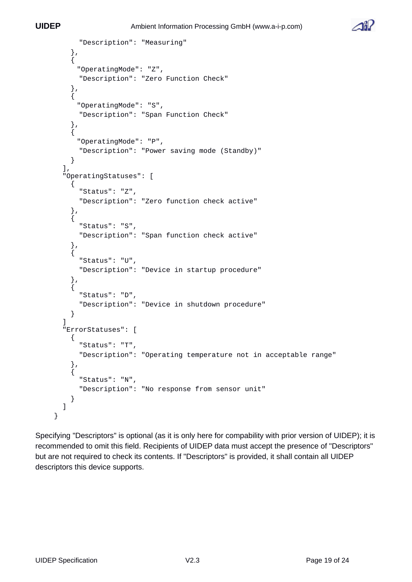

```
 "Description": "Measuring" 
     },
    \overline{f} "OperatingMode": "Z",
       "Description": "Zero Function Check"
     },
     { 
       "OperatingMode": "S",
       "Description": "Span Function Check"
     },
\{ "OperatingMode": "P",
       "Description": "Power saving mode (Standby)"
     }
 ],
 "OperatingStatuses": [
\{ "Status": "Z",
       "Description": "Zero function check active"
     },
     {
       "Status": "S",
       "Description": "Span function check active"
     },
     {
       "Status": "U",
       "Description": "Device in startup procedure"
     },
     {
       "Status": "D",
       "Description": "Device in shutdown procedure"
     }
 ]
 "ErrorStatuses": [
\{ "Status": "T",
       "Description": "Operating temperature not in acceptable range"
     },
\{ "Status": "N",
       "Description": "No response from sensor unit"
     }
   ]
}
```
Specifying "Descriptors" is optional (as it is only here for compability with prior version of UIDEP); it is recommended to omit this field. Recipients of UIDEP data must accept the presence of "Descriptors" but are not required to check its contents. If "Descriptors" is provided, it shall contain all UIDEP descriptors this device supports.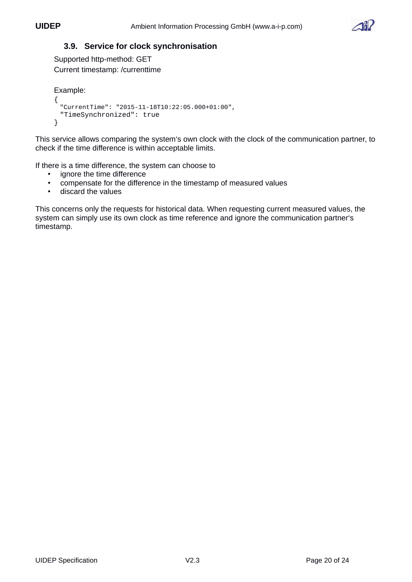

#### <span id="page-19-0"></span> **3.9. Service for clock synchronisation**

Supported http-method: GET Current timestamp: /currenttime

```
Example:
{
 "CurrentTime": "2015-11-18T10:22:05.000+01:00",
 "TimeSynchronized": true
}
```
This service allows comparing the system's own clock with the clock of the communication partner, to check if the time difference is within acceptable limits.

If there is a time difference, the system can choose to

- ignore the time difference
- compensate for the difference in the timestamp of measured values
- discard the values

This concerns only the requests for historical data. When requesting current measured values, the system can simply use its own clock as time reference and ignore the communication partner's timestamp.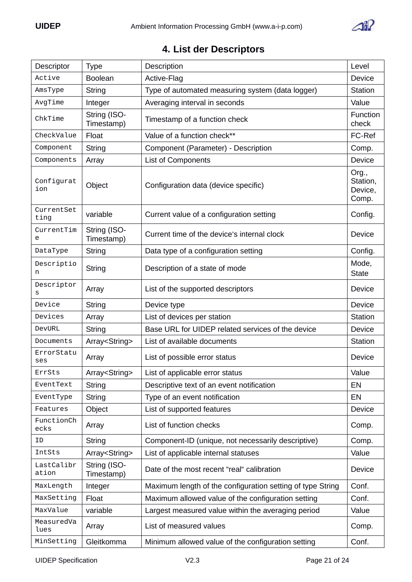

# <span id="page-20-0"></span> **4. List der Descriptors**

| Descriptor          | <b>Type</b>                | Description                                                | Level                                 |
|---------------------|----------------------------|------------------------------------------------------------|---------------------------------------|
| Active              | <b>Boolean</b>             | Active-Flag                                                | Device                                |
| AmsType             | String                     | Type of automated measuring system (data logger)           | <b>Station</b>                        |
| AvgTime             | Integer                    | Averaging interval in seconds                              | Value                                 |
| ChkTime             | String (ISO-<br>Timestamp) | Timestamp of a function check                              | Function<br>check                     |
| CheckValue          | Float                      | Value of a function check**                                | FC-Ref                                |
| Component           | String                     | Component (Parameter) - Description                        | Comp.                                 |
| Components          | Array                      | List of Components                                         | Device                                |
| Configurat<br>ion   | Object                     | Configuration data (device specific)                       | Org.,<br>Station,<br>Device,<br>Comp. |
| CurrentSet<br>ting  | variable                   | Current value of a configuration setting                   | Config.                               |
| CurrentTim<br>e     | String (ISO-<br>Timestamp) | Current time of the device's internal clock                | Device                                |
| DataType            | String                     | Data type of a configuration setting                       | Config.                               |
| Descriptio<br>n     | String                     | Description of a state of mode                             | Mode,<br><b>State</b>                 |
| Descriptor<br>S     | Array                      | List of the supported descriptors                          | Device                                |
| Device              | String                     | Device type                                                | Device                                |
| Devices             | Array                      | List of devices per station                                | <b>Station</b>                        |
| <b>DevURL</b>       | String                     | Base URL for UIDEP related services of the device          | Device                                |
| Documents           | Array <string></string>    | List of available documents                                | <b>Station</b>                        |
| ErrorStatu<br>ses   | Array                      | List of possible error status                              | Device                                |
| ErrSts              | Array <string></string>    | List of applicable error status                            | Value                                 |
| EventText           | <b>String</b>              | Descriptive text of an event notification                  | EN                                    |
| EventType           | <b>String</b>              | Type of an event notification                              | EN                                    |
| Features            | Object                     | List of supported features                                 | Device                                |
| FunctionCh<br>ecks  | Array                      | List of function checks                                    | Comp.                                 |
| ID                  | String                     | Component-ID (unique, not necessarily descriptive)         | Comp.                                 |
| IntSts              | Array <string></string>    | List of applicable internal statuses                       | Value                                 |
| LastCalibr<br>ation | String (ISO-<br>Timestamp) | Date of the most recent "real" calibration                 | Device                                |
| MaxLength           | Integer                    | Maximum length of the configuration setting of type String | Conf.                                 |
| MaxSetting          | Float                      | Maximum allowed value of the configuration setting         | Conf.                                 |
| MaxValue            | variable                   | Largest measured value within the averaging period         | Value                                 |
| MeasuredVa<br>lues  | Array                      | List of measured values                                    | Comp.                                 |
| MinSetting          | Gleitkomma                 | Minimum allowed value of the configuration setting         | Conf.                                 |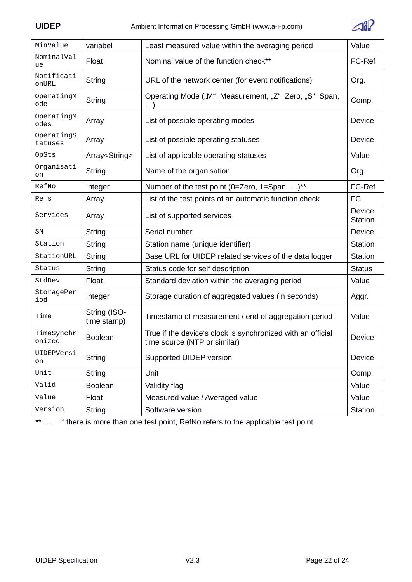

| MinValue              | variabel                    | Least measured value within the averaging period                                            | Value                     |
|-----------------------|-----------------------------|---------------------------------------------------------------------------------------------|---------------------------|
| NominalVal<br>ue      | Float                       | Nominal value of the function check**                                                       | FC-Ref                    |
| Notificati<br>onURL   | <b>String</b>               | URL of the network center (for event notifications)                                         | Org.                      |
| OperatingM<br>ode     | <b>String</b>               | Operating Mode ("M"=Measurement, "Z"=Zero, "S"=Span,<br>$\ldots$                            | Comp.                     |
| OperatingM<br>odes    | Array                       | List of possible operating modes                                                            | Device                    |
| OperatingS<br>tatuses | Array                       | List of possible operating statuses                                                         | Device                    |
| <b>OpSts</b>          | Array <string></string>     | List of applicable operating statuses                                                       | Value                     |
| Organisati<br>on      | String                      | Name of the organisation                                                                    | Org.                      |
| RefNo                 | Integer                     | Number of the test point (0=Zero, 1=Span, )**                                               | FC-Ref                    |
| Refs                  | Array                       | List of the test points of an automatic function check                                      | <b>FC</b>                 |
| Services              | Array                       | List of supported services                                                                  | Device,<br><b>Station</b> |
| <b>SN</b>             | String                      | Serial number                                                                               | Device                    |
| Station               | String                      | Station name (unique identifier)                                                            | Station                   |
| StationURL            | String                      | Base URL for UIDEP related services of the data logger                                      | <b>Station</b>            |
| Status                | <b>String</b>               | Status code for self description                                                            | <b>Status</b>             |
| StdDev                | Float                       | Standard deviation within the averaging period                                              | Value                     |
| StoragePer<br>iod     | Integer                     | Storage duration of aggregated values (in seconds)                                          | Aggr.                     |
| Time                  | String (ISO-<br>time stamp) | Timestamp of measurement / end of aggregation period                                        | Value                     |
| TimeSynchr<br>onized  | <b>Boolean</b>              | True if the device's clock is synchronized with an official<br>time source (NTP or similar) | Device                    |
| UIDEPVersi<br>on      | <b>String</b>               | Supported UIDEP version                                                                     | Device                    |
| Unit                  | <b>String</b>               | Unit                                                                                        | Comp.                     |
| Valid                 | <b>Boolean</b>              | Validity flag                                                                               | Value                     |
| Value                 | Float                       | Measured value / Averaged value                                                             | Value                     |
| Version               | <b>String</b>               | Software version                                                                            | Station                   |
|                       |                             |                                                                                             |                           |

\*\* … If there is more than one test point, RefNo refers to the applicable test point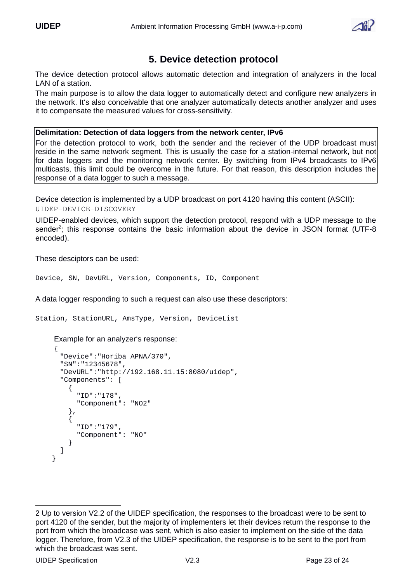

# **5. Device detection protocol**

The device detection protocol allows automatic detection and integration of analyzers in the local LAN of a station.

The main purpose is to allow the data logger to automatically detect and configure new analyzers in the network. It's also conceivable that one analyzer automatically detects another analyzer and uses it to compensate the measured values for cross-sensitivity.

#### **Delimitation: Detection of data loggers from the network center, IPv6**

For the detection protocol to work, both the sender and the reciever of the UDP broadcast must reside in the same network segment. This is usually the case for a station-internal network, but not for data loggers and the monitoring network center. By switching from IPv4 broadcasts to IPv6 multicasts, this limit could be overcome in the future. For that reason, this description includes the response of a data logger to such a message.

Device detection is implemented by a UDP broadcast on port 4120 having this content (ASCII): UIDEP-DEVICE-DISCOVERY

UIDEP-enabled devices, which support the detection protocol, respond with a UDP message to the sender<sup>[2](#page-22-0)</sup>; this response contains the basic information about the device in JSON format (UTF-8 encoded).

These desciptors can be used:

Device, SN, DevURL, Version, Components, ID, Component

A data logger responding to such a request can also use these descriptors:

Station, StationURL, AmsType, Version, DeviceList

Example for an analyzer's response:

```
{
 "Device":"Horiba APNA/370",
 "SN":"12345678",
 "DevURL":"http://192.168.11.15:8080/uidep",
 "Components": [
    {
      "ID":"178",
       "Component": "NO2"
    },
    {
       "ID":"179",
       "Component": "NO"
    }
 ]
```
}

<span id="page-22-0"></span><sup>2</sup> Up to version V2.2 of the UIDEP specification, the responses to the broadcast were to be sent to port 4120 of the sender, but the majority of implementers let their devices return the response to the port from which the broadcase was sent, which is also easier to implement on the side of the data logger. Therefore, from V2.3 of the UIDEP specification, the response is to be sent to the port from which the broadcast was sent.